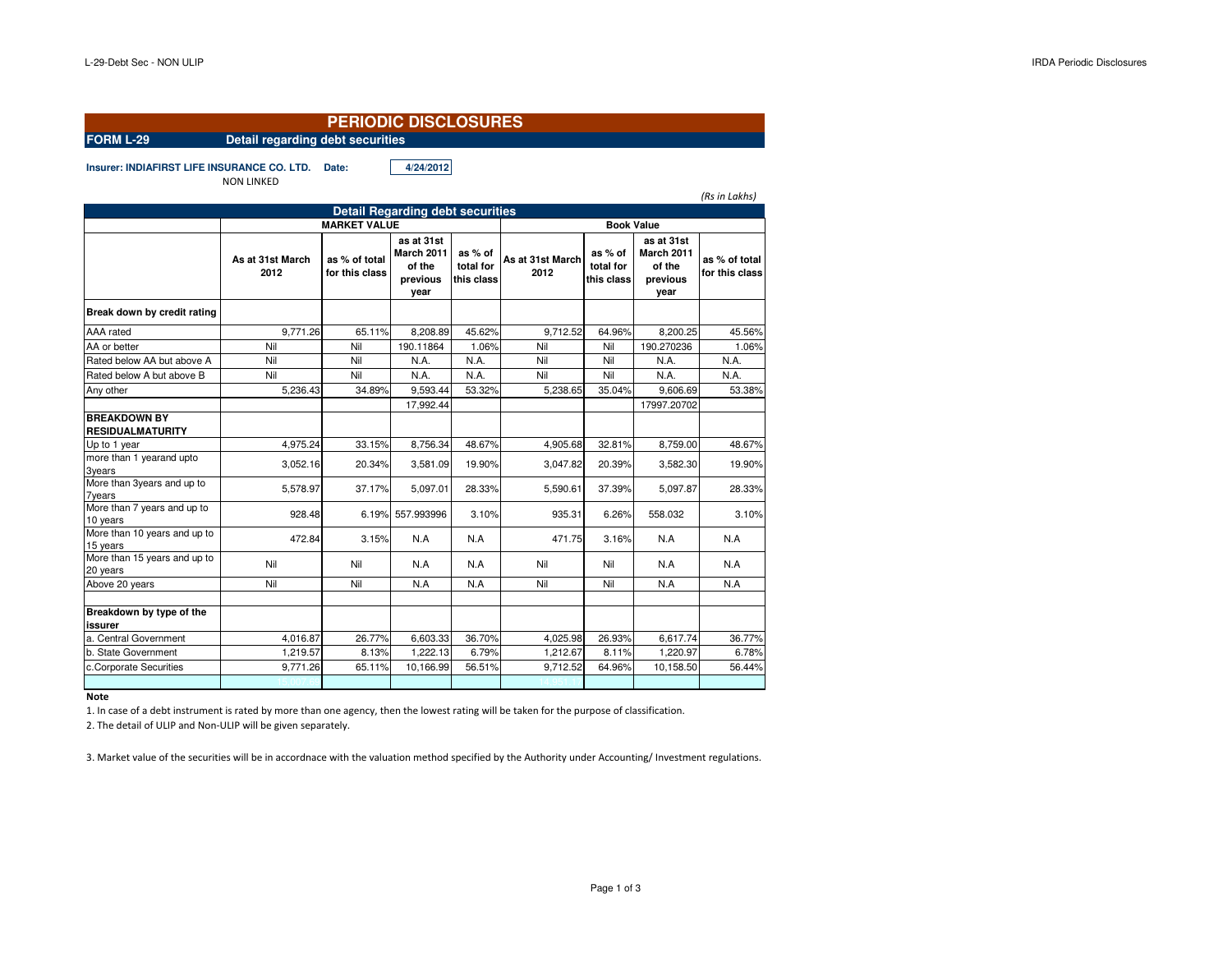|                                                |                                  | <b>PERIODIC DISCLOSURES</b>                                    |                                                               |                                    |                          |                                    |                                                        |                                 |  |
|------------------------------------------------|----------------------------------|----------------------------------------------------------------|---------------------------------------------------------------|------------------------------------|--------------------------|------------------------------------|--------------------------------------------------------|---------------------------------|--|
| <b>FORM L-29</b>                               | Detail regarding debt securities |                                                                |                                                               |                                    |                          |                                    |                                                        |                                 |  |
| Insurer: INDIAFIRST LIFE INSURANCE CO. LTD.    | <b>NON LINKED</b>                | Date:                                                          | 4/24/2012                                                     |                                    |                          |                                    |                                                        | (Rs in Lakhs)                   |  |
|                                                |                                  |                                                                |                                                               |                                    |                          |                                    |                                                        |                                 |  |
|                                                |                                  | <b>Detail Regarding debt securities</b><br><b>MARKET VALUE</b> |                                                               |                                    | <b>Book Value</b>        |                                    |                                                        |                                 |  |
|                                                | As at 31st March<br>2012         | as % of total<br>for this class                                | as at 31st<br><b>March 2011</b><br>of the<br>previous<br>year | as % of<br>total for<br>this class | As at 31st March<br>2012 | as % of<br>total for<br>this class | as at 31st<br>March 2011<br>of the<br>previous<br>year | as % of total<br>for this class |  |
| Break down by credit rating                    |                                  |                                                                |                                                               |                                    |                          |                                    |                                                        |                                 |  |
| AAA rated                                      | 9.771.26                         | 65.11%                                                         | 8.208.89                                                      | 45.62%                             | 9.712.52                 | 64.96%                             | 8.200.25                                               | 45.56%                          |  |
| AA or better                                   | Nil                              | Nil                                                            | 190.11864                                                     | 1.06%                              | Nil                      | Nil                                | 190.270236                                             | 1.06%                           |  |
| Rated below AA but above A                     | Nil                              | Nil                                                            | N.A.                                                          | N.A.                               | Nil                      | Nil                                | N.A.                                                   | N.A.                            |  |
| Rated below A but above B                      | Nil                              | Nil                                                            | N.A.                                                          | N.A.                               | Nil                      | Nil                                | N.A.                                                   | N.A.                            |  |
| Any other                                      | 5.236.43                         | 34.89%                                                         | 9.593.44                                                      | 53.32%                             | 5.238.65                 | 35.04%                             | 9.606.69                                               | 53.38%                          |  |
|                                                |                                  |                                                                | 17,992.44                                                     |                                    |                          |                                    | 17997.20702                                            |                                 |  |
| <b>BREAKDOWN BY</b><br><b>RESIDUALMATURITY</b> |                                  |                                                                |                                                               |                                    |                          |                                    |                                                        |                                 |  |
| Up to 1 year                                   | 4,975.24                         | 33.15%                                                         | 8,756.34                                                      | 48.67%                             | 4,905.68                 | 32.81%                             | 8,759.00                                               | 48.67%                          |  |
| more than 1 yearand upto<br>3years             | 3,052.16                         | 20.34%                                                         | 3,581.09                                                      | 19.90%                             | 3.047.82                 | 20.39%                             | 3,582.30                                               | 19.90%                          |  |
| More than 3years and up to<br><b>7years</b>    | 5.578.97                         | 37.17%                                                         | 5.097.01                                                      | 28.33%                             | 5.590.61                 | 37.39%                             | 5.097.87                                               | 28.33%                          |  |
| More than 7 years and up to<br>10 years        | 928.48                           |                                                                | 6.19% 557.993996                                              | 3.10%                              | 935.31                   | 6.26%                              | 558.032                                                | 3.10%                           |  |
| More than 10 years and up to<br>15 years       | 472.84                           | 3.15%                                                          | N.A                                                           | N.A                                | 471.75                   | 3.16%                              | N.A                                                    | N.A                             |  |
| More than 15 years and up to<br>20 years       | Nil                              | Nil                                                            | N.A                                                           | N.A                                | Nil                      | Nil                                | N.A                                                    | N.A                             |  |
| Above 20 years                                 | Nil                              | Nil                                                            | N.A                                                           | N.A                                | Nil                      | Nil                                | N.A                                                    | N.A                             |  |
| Breakdown by type of the<br>issurer            |                                  |                                                                |                                                               |                                    |                          |                                    |                                                        |                                 |  |
| a. Central Government                          | 4,016.87                         | 26.77%                                                         | 6,603.33                                                      | 36.70%                             | 4,025.98                 | 26.93%                             | 6,617.74                                               | 36.77%                          |  |
| b. State Government                            | 1,219.57                         | 8.13%                                                          | 1,222.13                                                      | 6.79%                              | 1,212.67                 | 8.11%                              | 1,220.97                                               | 6.78%                           |  |
| c.Corporate Securities                         | 9,771.26                         | 65.11%                                                         | 10,166.99                                                     | 56.51%                             | 9,712.52                 | 64.96%                             | 10,158.50                                              | 56.44%                          |  |
|                                                |                                  |                                                                |                                                               |                                    |                          |                                    |                                                        |                                 |  |

#### **Note**

1. In case of a debt instrument is rated by more than one agency, then the lowest rating will be taken for the purpose of classification.

2. The detail of ULIP and Non-ULIP will be given separately.

3. Market value of the securities will be in accordnace with the valuation method specified by the Authority under Accounting/ Investment regulations.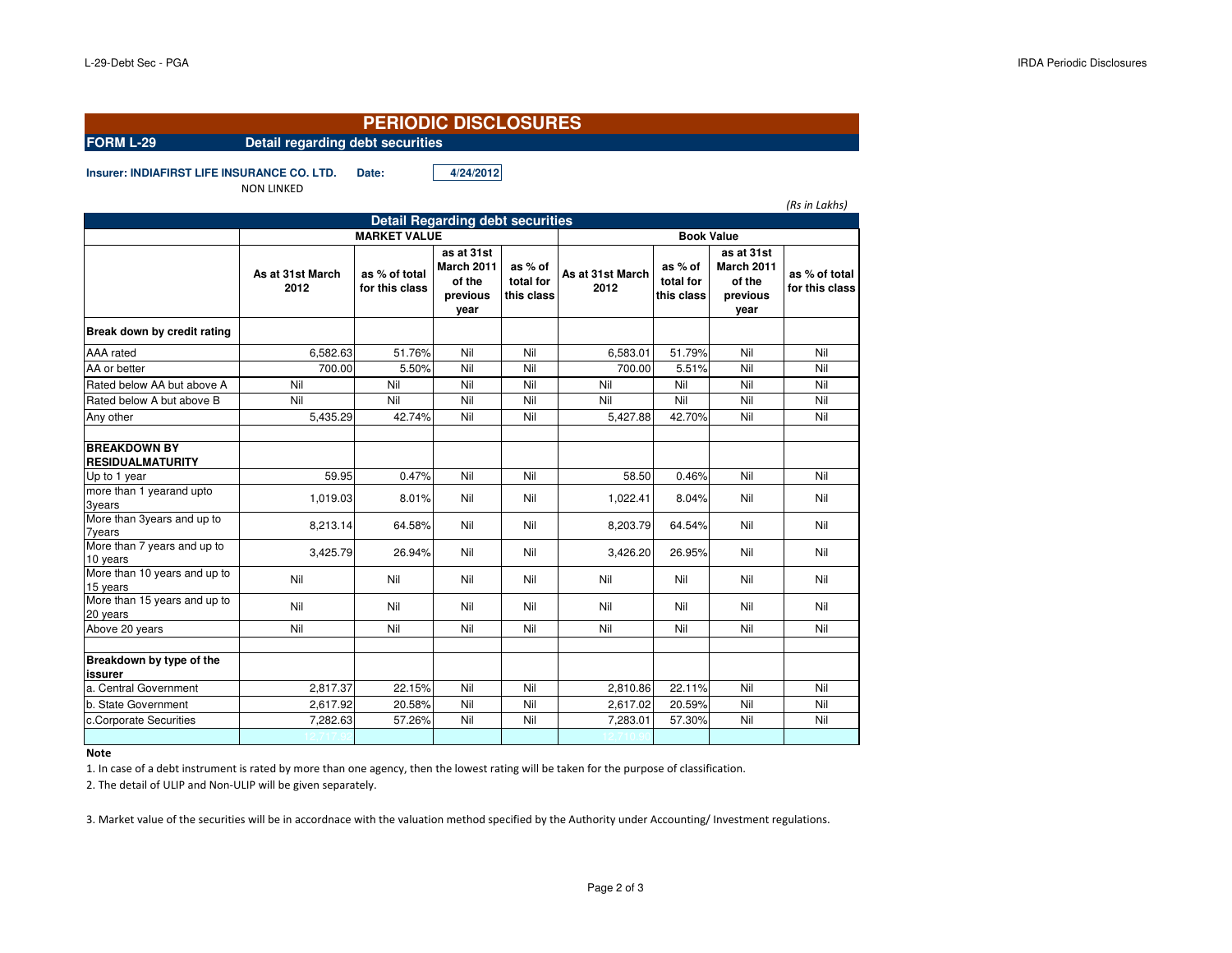## **FORM L-29 Detail regarding debt securities**

**PERIODIC DISCLOSURES**

**Insurer: INDIAFIRST LIFE INSURANCE CO. LTD. Date: 4/24/2012**

NON LINKED

|                                                |                          |                                 |                                                        |                                    |                          |                                    |                                                               | (Rs in Lakhs)                   |
|------------------------------------------------|--------------------------|---------------------------------|--------------------------------------------------------|------------------------------------|--------------------------|------------------------------------|---------------------------------------------------------------|---------------------------------|
| <b>Detail Regarding debt securities</b>        |                          |                                 |                                                        |                                    |                          |                                    |                                                               |                                 |
|                                                |                          | <b>MARKET VALUE</b>             |                                                        |                                    |                          |                                    |                                                               |                                 |
|                                                | As at 31st March<br>2012 | as % of total<br>for this class | as at 31st<br>March 2011<br>of the<br>previous<br>year | as % of<br>total for<br>this class | As at 31st March<br>2012 | as % of<br>total for<br>this class | as at 31st<br><b>March 2011</b><br>of the<br>previous<br>year | as % of total<br>for this class |
| Break down by credit rating                    |                          |                                 |                                                        |                                    |                          |                                    |                                                               |                                 |
| <b>AAA</b> rated                               | 6,582.63                 | 51.76%                          | Nil                                                    | Nil                                | 6,583.01                 | 51.79%                             | Nil                                                           | Nil                             |
| AA or better                                   | 700.00                   | 5.50%                           | Nil                                                    | Nil                                | 700.00                   | 5.51%                              | Nil                                                           | Nil                             |
| Rated below AA but above A                     | Nil                      | Nil                             | Nil                                                    | Nil                                | Nil                      | Nil                                | Nil                                                           | Nil                             |
| Rated below A but above B                      | Nil                      | Nil                             | Nil                                                    | Nil                                | Nil                      | Nil                                | Nil                                                           | Nil                             |
| Any other                                      | 5,435.29                 | 42.74%                          | Nil                                                    | Nil                                | 5,427.88                 | 42.70%                             | Nil                                                           | Nil                             |
| <b>BREAKDOWN BY</b><br><b>RESIDUALMATURITY</b> |                          |                                 |                                                        |                                    |                          |                                    |                                                               |                                 |
| Up to 1 year                                   | 59.95                    | 0.47%                           | Nil                                                    | Nil                                | 58.50                    | 0.46%                              | Nil                                                           | Nil                             |
| more than 1 yearand upto<br>3years             | 1,019.03                 | 8.01%                           | Nil                                                    | Nil                                | 1,022.41                 | 8.04%                              | Nil                                                           | Nil                             |
| More than 3years and up to<br><b>7years</b>    | 8,213.14                 | 64.58%                          | Nil                                                    | Nil                                | 8,203.79                 | 64.54%                             | Nil                                                           | Nil                             |
| More than 7 years and up to<br>10 years        | 3,425.79                 | 26.94%                          | Nil                                                    | Nil                                | 3,426.20                 | 26.95%                             | Nil                                                           | Nil                             |
| More than 10 years and up to<br>15 years       | Nil                      | Nil                             | Nil                                                    | Nil                                | Nil                      | Nil                                | Nil                                                           | Nil                             |
| More than 15 years and up to<br>20 years       | Nil                      | Nil                             | Nil                                                    | Nil                                | Nil                      | Nil                                | Nil                                                           | Nil                             |
| Above 20 years                                 | Nil                      | Nil                             | Nil                                                    | Nil                                | Nil                      | Nil                                | Nil                                                           | Nil                             |
|                                                |                          |                                 |                                                        |                                    |                          |                                    |                                                               |                                 |
| Breakdown by type of the<br>issurer            |                          |                                 |                                                        |                                    |                          |                                    |                                                               |                                 |
| a. Central Government                          | 2,817.37                 | 22.15%                          | Nil                                                    | Nil                                | 2,810.86                 | 22.11%                             | Nil                                                           | Nil                             |
| b. State Government                            | 2,617.92                 | 20.58%                          | Nil                                                    | Nil                                | 2,617.02                 | 20.59%                             | Nil                                                           | Nil                             |
| c.Corporate Securities                         | 7,282.63                 | 57.26%                          | Nil                                                    | Nil                                | 7,283.01                 | 57.30%                             | Nil                                                           | Nil                             |
|                                                |                          |                                 |                                                        |                                    |                          |                                    |                                                               |                                 |

### **Note**

1. In case of a debt instrument is rated by more than one agency, then the lowest rating will be taken for the purpose of classification.

2. The detail of ULIP and Non-ULIP will be given separately.

3. Market value of the securities will be in accordnace with the valuation method specified by the Authority under Accounting/ Investment regulations.